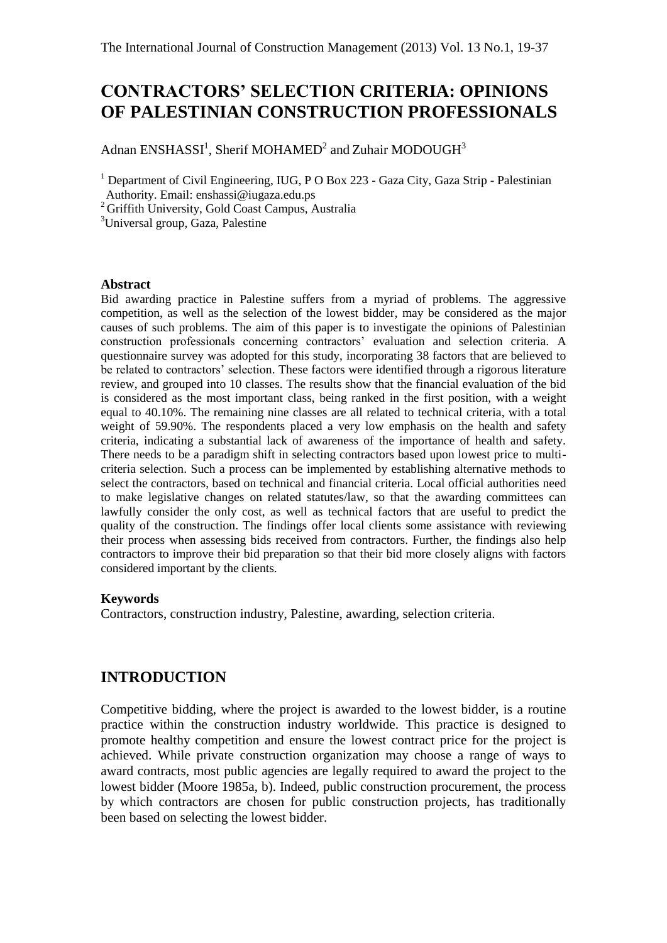# **CONTRACTORS' SELECTION CRITERIA: OPINIONS OF PALESTINIAN CONSTRUCTION PROFESSIONALS**

Adnan ENSHASSI<sup>1</sup>, Sherif MOHAMED<sup>2</sup> and Zuhair MODOUGH<sup>3</sup>

<sup>1</sup> Department of Civil Engineering, IUG, P O Box 223 - Gaza City, Gaza Strip - Palestinian

Authority. Email: [enshassi@iugaza.edu.ps](mailto:enshassi@iugaza.edu.ps)

<sup>2</sup>Griffith University, Gold Coast Campus, Australia

<sup>3</sup>Universal group, Gaza, Palestine

#### **Abstract**

Bid awarding practice in Palestine suffers from a myriad of problems. The aggressive competition, as well as the selection of the lowest bidder, may be considered as the major causes of such problems. The aim of this paper is to investigate the opinions of Palestinian construction professionals concerning contractors' evaluation and selection criteria. A questionnaire survey was adopted for this study, incorporating 38 factors that are believed to be related to contractors' selection. These factors were identified through a rigorous literature review, and grouped into 10 classes. The results show that the financial evaluation of the bid is considered as the most important class, being ranked in the first position, with a weight equal to 40.10%. The remaining nine classes are all related to technical criteria, with a total weight of 59.90%. The respondents placed a very low emphasis on the health and safety criteria, indicating a substantial lack of awareness of the importance of health and safety. There needs to be a paradigm shift in selecting contractors based upon lowest price to multicriteria selection. Such a process can be implemented by establishing alternative methods to select the contractors, based on technical and financial criteria. Local official authorities need to make legislative changes on related statutes/law, so that the awarding committees can lawfully consider the only cost, as well as technical factors that are useful to predict the quality of the construction. The findings offer local clients some assistance with reviewing their process when assessing bids received from contractors. Further, the findings also help contractors to improve their bid preparation so that their bid more closely aligns with factors considered important by the clients.

#### **Keywords**

Contractors, construction industry, Palestine, awarding, selection criteria.

# **INTRODUCTION**

Competitive bidding, where the project is awarded to the lowest bidder, is a routine practice within the construction industry worldwide. This practice is designed to promote healthy competition and ensure the lowest contract price for the project is achieved. While private construction organization may choose a range of ways to award contracts, most public agencies are legally required to award the project to the lowest bidder (Moore 1985a, b). Indeed, public construction procurement, the process by which contractors are chosen for public construction projects, has traditionally been based on selecting the lowest bidder.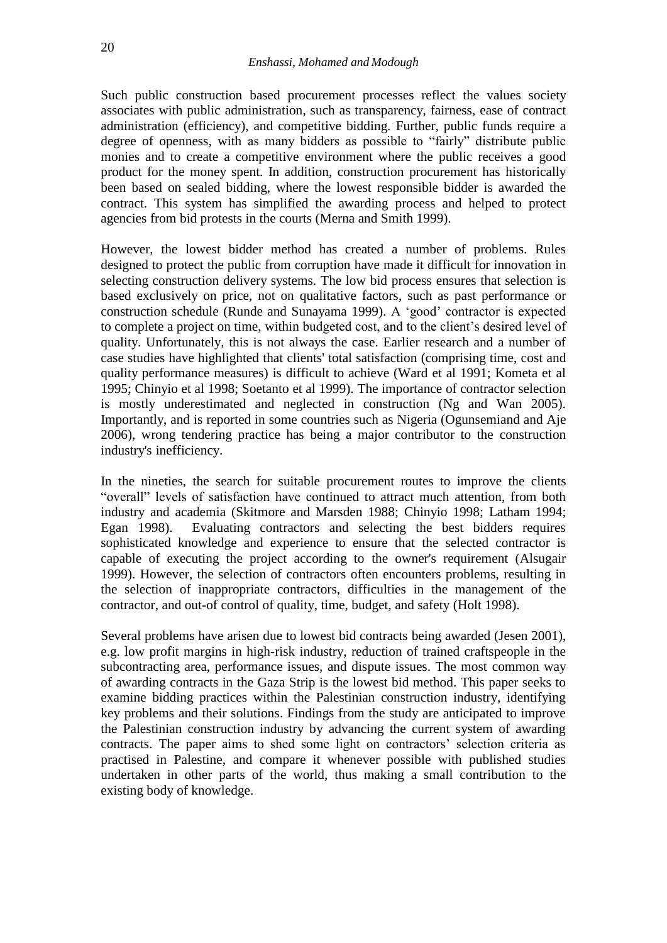Such public construction based procurement processes reflect the values society associates with public administration, such as transparency, fairness, ease of contract administration (efficiency), and competitive bidding. Further, public funds require a degree of openness, with as many bidders as possible to "fairly" distribute public monies and to create a competitive environment where the public receives a good product for the money spent. In addition, construction procurement has historically been based on sealed bidding, where the lowest responsible bidder is awarded the contract. This system has simplified the awarding process and helped to protect agencies from bid protests in the courts (Merna and Smith 1999).

However, the lowest bidder method has created a number of problems. Rules designed to protect the public from corruption have made it difficult for innovation in selecting construction delivery systems. The low bid process ensures that selection is based exclusively on price, not on qualitative factors, such as past performance or construction schedule (Runde and Sunayama 1999). A 'good' contractor is expected to complete a project on time, within budgeted cost, and to the client's desired level of quality. Unfortunately, this is not always the case. Earlier research and a number of case studies have highlighted that clients' total satisfaction (comprising time, cost and quality performance measures) is difficult to achieve (Ward et al 1991; Kometa et al 1995; Chinyio et al 1998; Soetanto et al 1999). The importance of contractor selection is mostly underestimated and neglected in construction (Ng and Wan 2005). Importantly, and is reported in some countries such as Nigeria (Ogunsemiand and Aje 2006), wrong tendering practice has being a major contributor to the construction industry's inefficiency.

In the nineties, the search for suitable procurement routes to improve the clients "overall" levels of satisfaction have continued to attract much attention, from both industry and academia (Skitmore and Marsden 1988; Chinyio 1998; Latham 1994; Egan 1998). Evaluating contractors and selecting the best bidders requires sophisticated knowledge and experience to ensure that the selected contractor is capable of executing the project according to the owner's requirement (Alsugair 1999). However, the selection of contractors often encounters problems, resulting in the selection of inappropriate contractors, difficulties in the management of the contractor, and out-of control of quality, time, budget, and safety (Holt 1998).

Several problems have arisen due to lowest bid contracts being awarded (Jesen 2001), e.g. low profit margins in high-risk industry, reduction of trained craftspeople in the subcontracting area, performance issues, and dispute issues. The most common way of awarding contracts in the Gaza Strip is the lowest bid method. This paper seeks to examine bidding practices within the Palestinian construction industry, identifying key problems and their solutions. Findings from the study are anticipated to improve the Palestinian construction industry by advancing the current system of awarding contracts. The paper aims to shed some light on contractors' selection criteria as practised in Palestine, and compare it whenever possible with published studies undertaken in other parts of the world, thus making a small contribution to the existing body of knowledge.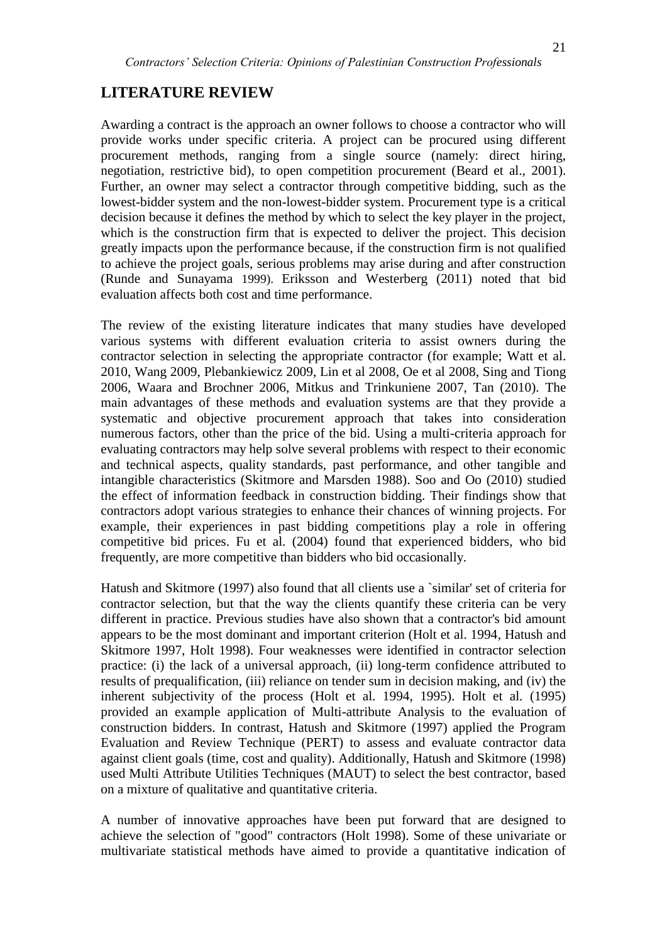# **LITERATURE REVIEW**

Awarding a contract is the approach an owner follows to choose a contractor who will provide works under specific criteria. A project can be procured using different procurement methods, ranging from a single source (namely: direct hiring, negotiation, restrictive bid), to open competition procurement (Beard et al., 2001). Further, an owner may select a contractor through competitive bidding, such as the lowest-bidder system and the non-lowest-bidder system. Procurement type is a critical decision because it defines the method by which to select the key player in the project, which is the construction firm that is expected to deliver the project. This decision greatly impacts upon the performance because, if the construction firm is not qualified to achieve the project goals, serious problems may arise during and after construction (Runde and Sunayama 1999). Eriksson and Westerberg (2011) noted that bid evaluation affects both cost and time performance.

The review of the existing literature indicates that many studies have developed various systems with different evaluation criteria to assist owners during the contractor selection in selecting the appropriate contractor (for example; Watt et al. 2010, Wang 2009, Plebankiewicz 2009, Lin et al 2008, Oe et al 2008, Sing and Tiong 2006, Waara and Brochner 2006, Mitkus and Trinkuniene 2007, Tan (2010). The main advantages of these methods and evaluation systems are that they provide a systematic and objective procurement approach that takes into consideration numerous factors, other than the price of the bid. Using a multi-criteria approach for evaluating contractors may help solve several problems with respect to their economic and technical aspects, quality standards, past performance, and other tangible and intangible characteristics (Skitmore and Marsden 1988). Soo and Oo (2010) studied the effect of information feedback in construction bidding. Their findings show that contractors adopt various strategies to enhance their chances of winning projects. For example, their experiences in past bidding competitions play a role in offering competitive bid prices. Fu et al. (2004) found that experienced bidders, who bid frequently, are more competitive than bidders who bid occasionally.

Hatush and Skitmore (1997) also found that all clients use a `similar' set of criteria for contractor selection, but that the way the clients quantify these criteria can be very different in practice. Previous studies have also shown that a contractor's bid amount appears to be the most dominant and important criterion (Holt et al. 1994, Hatush and Skitmore 1997, Holt 1998). Four weaknesses were identified in contractor selection practice: (i) the lack of a universal approach, (ii) long-term confidence attributed to results of prequalification, (iii) reliance on tender sum in decision making, and (iv) the inherent subjectivity of the process (Holt et al. 1994, 1995). Holt et al. (1995) provided an example application of Multi-attribute Analysis to the evaluation of construction bidders. In contrast, Hatush and Skitmore (1997) applied the Program Evaluation and Review Technique (PERT) to assess and evaluate contractor data against client goals (time, cost and quality). Additionally, Hatush and Skitmore (1998) used Multi Attribute Utilities Techniques (MAUT) to select the best contractor, based on a mixture of qualitative and quantitative criteria.

A number of innovative approaches have been put forward that are designed to achieve the selection of "good" contractors (Holt 1998). Some of these univariate or multivariate statistical methods have aimed to provide a quantitative indication of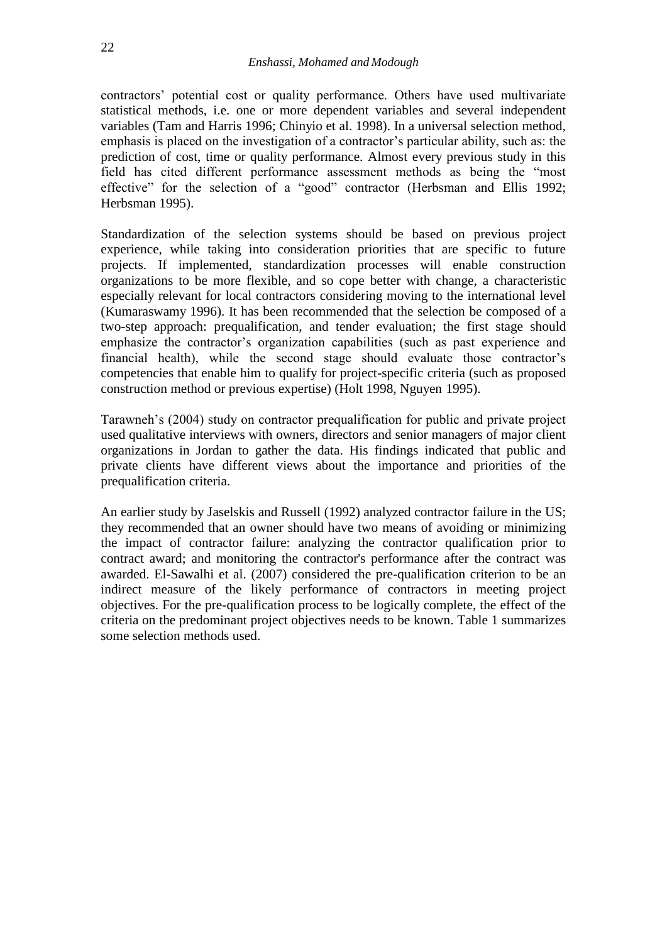contractors' potential cost or quality performance. Others have used multivariate statistical methods, i.e. one or more dependent variables and several independent variables (Tam and Harris 1996; Chinyio et al. 1998). In a universal selection method, emphasis is placed on the investigation of a contractor's particular ability, such as: the prediction of cost, time or quality performance. Almost every previous study in this field has cited different performance assessment methods as being the "most effective" for the selection of a "good" contractor (Herbsman and Ellis 1992; Herbsman 1995).

Standardization of the selection systems should be based on previous project experience, while taking into consideration priorities that are specific to future projects. If implemented, standardization processes will enable construction organizations to be more flexible, and so cope better with change, a characteristic especially relevant for local contractors considering moving to the international level (Kumaraswamy 1996). It has been recommended that the selection be composed of a two-step approach: prequalification, and tender evaluation; the first stage should emphasize the contractor's organization capabilities (such as past experience and financial health), while the second stage should evaluate those contractor's competencies that enable him to qualify for project-specific criteria (such as proposed construction method or previous expertise) (Holt 1998, Nguyen 1995).

Tarawneh's (2004) study on contractor prequalification for public and private project used qualitative interviews with owners, directors and senior managers of major client organizations in Jordan to gather the data. His findings indicated that public and private clients have different views about the importance and priorities of the prequalification criteria.

An earlier study by Jaselskis and Russell (1992) analyzed contractor failure in the US; they recommended that an owner should have two means of avoiding or minimizing the impact of contractor failure: analyzing the contractor qualification prior to contract award; and monitoring the contractor's performance after the contract was awarded. El-Sawalhi et al. (2007) considered the pre-qualification criterion to be an indirect measure of the likely performance of contractors in meeting project objectives. For the pre-qualification process to be logically complete, the effect of the criteria on the predominant project objectives needs to be known. Table 1 summarizes some selection methods used.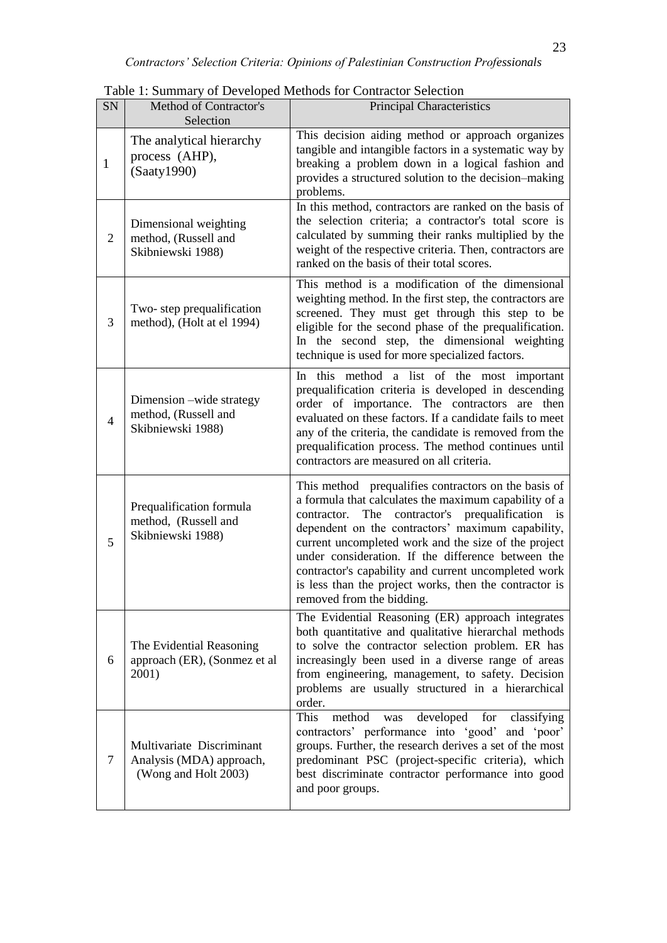|                          | Table 1: Summary of Developed Methods for Contractor Selection                |                                                                                                                                                                                                                                                                                                                                                                                                                                                                                        |  |  |  |
|--------------------------|-------------------------------------------------------------------------------|----------------------------------------------------------------------------------------------------------------------------------------------------------------------------------------------------------------------------------------------------------------------------------------------------------------------------------------------------------------------------------------------------------------------------------------------------------------------------------------|--|--|--|
| SN                       | Method of Contractor's<br>Selection                                           | <b>Principal Characteristics</b>                                                                                                                                                                                                                                                                                                                                                                                                                                                       |  |  |  |
| $\mathbf{1}$             | The analytical hierarchy<br>process (AHP),<br>(Saaty1990)                     | This decision aiding method or approach organizes<br>tangible and intangible factors in a systematic way by<br>breaking a problem down in a logical fashion and<br>provides a structured solution to the decision-making<br>problems.                                                                                                                                                                                                                                                  |  |  |  |
| 2                        | Dimensional weighting<br>method, (Russell and<br>Skibniewski 1988)            | In this method, contractors are ranked on the basis of<br>the selection criteria; a contractor's total score is<br>calculated by summing their ranks multiplied by the<br>weight of the respective criteria. Then, contractors are<br>ranked on the basis of their total scores.                                                                                                                                                                                                       |  |  |  |
| 3                        | Two-step prequalification<br>method), (Holt at el 1994)                       | This method is a modification of the dimensional<br>weighting method. In the first step, the contractors are<br>screened. They must get through this step to be<br>eligible for the second phase of the prequalification.<br>In the second step, the dimensional weighting<br>technique is used for more specialized factors.                                                                                                                                                          |  |  |  |
| $\overline{\mathcal{A}}$ | Dimension –wide strategy<br>method, (Russell and<br>Skibniewski 1988)         | this method a list of the most important<br>In<br>prequalification criteria is developed in descending<br>order of importance. The contractors are then<br>evaluated on these factors. If a candidate fails to meet<br>any of the criteria, the candidate is removed from the<br>prequalification process. The method continues until<br>contractors are measured on all criteria.                                                                                                     |  |  |  |
| 5                        | Prequalification formula<br>method, (Russell and<br>Skibniewski 1988)         | This method prequalifies contractors on the basis of<br>a formula that calculates the maximum capability of a<br>The contractor's prequalification is<br>contractor.<br>dependent on the contractors' maximum capability,<br>current uncompleted work and the size of the project<br>under consideration. If the difference between the<br>contractor's capability and current uncompleted work<br>is less than the project works, then the contractor is<br>removed from the bidding. |  |  |  |
| 6                        | The Evidential Reasoning<br>approach (ER), (Sonmez et al<br>2001)             | The Evidential Reasoning (ER) approach integrates<br>both quantitative and qualitative hierarchal methods<br>to solve the contractor selection problem. ER has<br>increasingly been used in a diverse range of areas<br>from engineering, management, to safety. Decision<br>problems are usually structured in a hierarchical<br>order.                                                                                                                                               |  |  |  |
| 7                        | Multivariate Discriminant<br>Analysis (MDA) approach,<br>(Wong and Holt 2003) | This<br>developed<br>method<br>for<br>classifying<br>was<br>contractors' performance into 'good' and 'poor'<br>groups. Further, the research derives a set of the most<br>predominant PSC (project-specific criteria), which<br>best discriminate contractor performance into good<br>and poor groups.                                                                                                                                                                                 |  |  |  |

Table 1: Summary of Developed Methods for Contractor Selection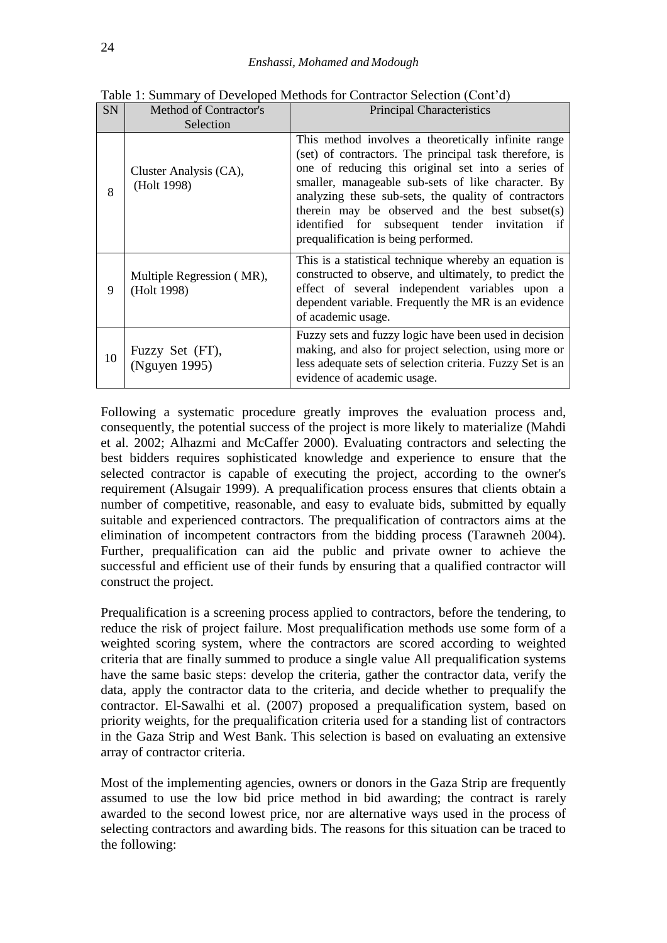| SN | <b>Method of Contractor's</b>            | <b>Principal Characteristics</b>                                                                                                                                                                                                                                                                                                                                                                                              |  |
|----|------------------------------------------|-------------------------------------------------------------------------------------------------------------------------------------------------------------------------------------------------------------------------------------------------------------------------------------------------------------------------------------------------------------------------------------------------------------------------------|--|
|    | Selection                                |                                                                                                                                                                                                                                                                                                                                                                                                                               |  |
| 8  | Cluster Analysis (CA),<br>(Holt 1998)    | This method involves a theoretically infinite range<br>(set) of contractors. The principal task therefore, is<br>one of reducing this original set into a series of<br>smaller, manageable sub-sets of like character. By<br>analyzing these sub-sets, the quality of contractors<br>therein may be observed and the best subset(s)<br>identified for subsequent tender invitation if<br>prequalification is being performed. |  |
| 9  | Multiple Regression (MR),<br>(Holt 1998) | This is a statistical technique whereby an equation is<br>constructed to observe, and ultimately, to predict the<br>effect of several independent variables upon a<br>dependent variable. Frequently the MR is an evidence<br>of academic usage.                                                                                                                                                                              |  |
| 10 | Fuzzy Set (FT),<br>(Nguyen 1995)         | Fuzzy sets and fuzzy logic have been used in decision<br>making, and also for project selection, using more or<br>less adequate sets of selection criteria. Fuzzy Set is an<br>evidence of academic usage.                                                                                                                                                                                                                    |  |

Table 1: Summary of Developed Methods for Contractor Selection (Cont'd)

Following a systematic procedure greatly improves the evaluation process and, consequently, the potential success of the project is more likely to materialize (Mahdi et al. 2002; Alhazmi and McCaffer 2000). Evaluating contractors and selecting the best bidders requires sophisticated knowledge and experience to ensure that the selected contractor is capable of executing the project, according to the owner's requirement (Alsugair 1999). A prequalification process ensures that clients obtain a number of competitive, reasonable, and easy to evaluate bids, submitted by equally suitable and experienced contractors. The prequalification of contractors aims at the elimination of incompetent contractors from the bidding process (Tarawneh 2004). Further, prequalification can aid the public and private owner to achieve the successful and efficient use of their funds by ensuring that a qualified contractor will construct the project.

Prequalification is a screening process applied to contractors, before the tendering, to reduce the risk of project failure. Most prequalification methods use some form of a weighted scoring system, where the contractors are scored according to weighted criteria that are finally summed to produce a single value All prequalification systems have the same basic steps: develop the criteria, gather the contractor data, verify the data, apply the contractor data to the criteria, and decide whether to prequalify the contractor. El-Sawalhi et al. (2007) proposed a prequalification system, based on priority weights, for the prequalification criteria used for a standing list of contractors in the Gaza Strip and West Bank. This selection is based on evaluating an extensive array of contractor criteria.

Most of the implementing agencies, owners or donors in the Gaza Strip are frequently assumed to use the low bid price method in bid awarding; the contract is rarely awarded to the second lowest price, nor are alternative ways used in the process of selecting contractors and awarding bids. The reasons for this situation can be traced to the following: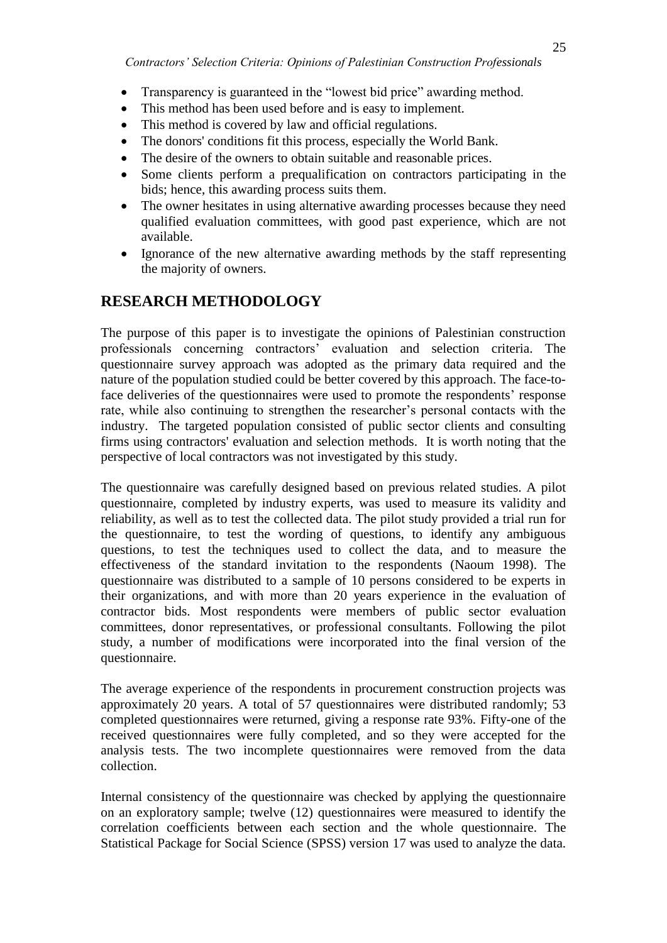- Transparency is guaranteed in the "lowest bid price" awarding method.
- This method has been used before and is easy to implement.
- This method is covered by law and official regulations.
- The donors' conditions fit this process, especially the World Bank.
- The desire of the owners to obtain suitable and reasonable prices.
- Some clients perform a prequalification on contractors participating in the bids; hence, this awarding process suits them.
- The owner hesitates in using alternative awarding processes because they need qualified evaluation committees, with good past experience, which are not available.
- Ignorance of the new alternative awarding methods by the staff representing the majority of owners.

# **RESEARCH METHODOLOGY**

The purpose of this paper is to investigate the opinions of Palestinian construction professionals concerning contractors' evaluation and selection criteria. The questionnaire survey approach was adopted as the primary data required and the nature of the population studied could be better covered by this approach. The face-toface deliveries of the questionnaires were used to promote the respondents' response rate, while also continuing to strengthen the researcher's personal contacts with the industry. The targeted population consisted of public sector clients and consulting firms using contractors' evaluation and selection methods. It is worth noting that the perspective of local contractors was not investigated by this study.

The questionnaire was carefully designed based on previous related studies. A pilot questionnaire, completed by industry experts, was used to measure its validity and reliability, as well as to test the collected data. The pilot study provided a trial run for the questionnaire, to test the wording of questions, to identify any ambiguous questions, to test the techniques used to collect the data, and to measure the effectiveness of the standard invitation to the respondents (Naoum 1998). The questionnaire was distributed to a sample of 10 persons considered to be experts in their organizations, and with more than 20 years experience in the evaluation of contractor bids. Most respondents were members of public sector evaluation committees, donor representatives, or professional consultants. Following the pilot study, a number of modifications were incorporated into the final version of the questionnaire.

The average experience of the respondents in procurement construction projects was approximately 20 years. A total of 57 questionnaires were distributed randomly; 53 completed questionnaires were returned, giving a response rate 93%. Fifty-one of the received questionnaires were fully completed, and so they were accepted for the analysis tests. The two incomplete questionnaires were removed from the data collection.

Internal consistency of the questionnaire was checked by applying the questionnaire on an exploratory sample; twelve (12) questionnaires were measured to identify the correlation coefficients between each section and the whole questionnaire. The Statistical Package for Social Science (SPSS) version 17 was used to analyze the data.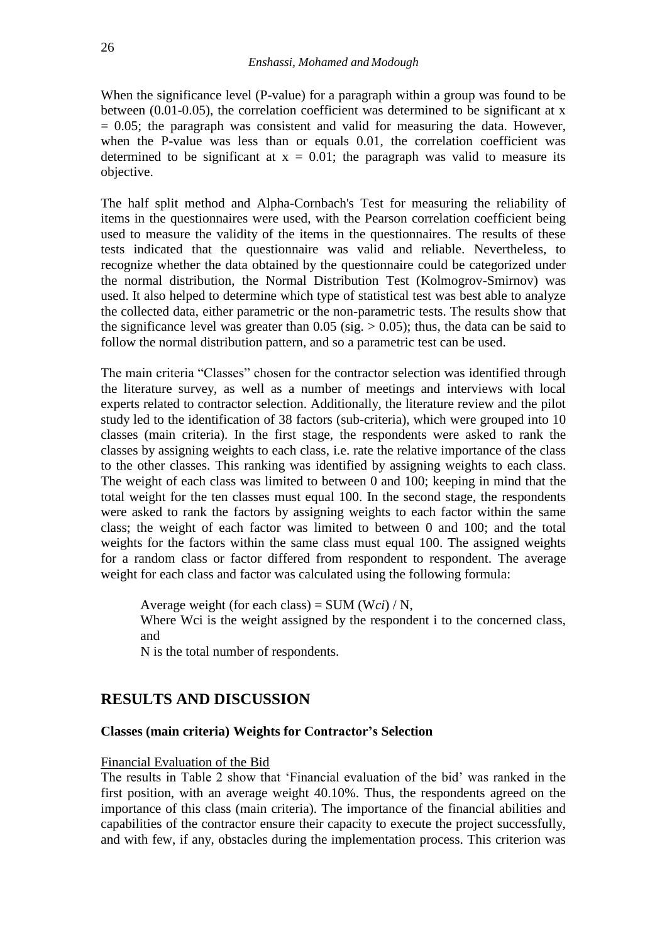When the significance level (P-value) for a paragraph within a group was found to be between (0.01-0.05), the correlation coefficient was determined to be significant at x  $= 0.05$ ; the paragraph was consistent and valid for measuring the data. However, when the P-value was less than or equals 0.01, the correlation coefficient was determined to be significant at  $x = 0.01$ ; the paragraph was valid to measure its objective.

The half split method and Alpha-Cornbach's Test for measuring the reliability of items in the questionnaires were used, with the Pearson correlation coefficient being used to measure the validity of the items in the questionnaires. The results of these tests indicated that the questionnaire was valid and reliable. Nevertheless, to recognize whether the data obtained by the questionnaire could be categorized under the normal distribution, the Normal Distribution Test (Kolmogrov-Smirnov) was used. It also helped to determine which type of statistical test was best able to analyze the collected data, either parametric or the non-parametric tests. The results show that the significance level was greater than  $0.05$  (sig.  $> 0.05$ ); thus, the data can be said to follow the normal distribution pattern, and so a parametric test can be used.

The main criteria "Classes" chosen for the contractor selection was identified through the literature survey, as well as a number of meetings and interviews with local experts related to contractor selection. Additionally, the literature review and the pilot study led to the identification of 38 factors (sub-criteria), which were grouped into 10 classes (main criteria). In the first stage, the respondents were asked to rank the classes by assigning weights to each class, i.e. rate the relative importance of the class to the other classes. This ranking was identified by assigning weights to each class. The weight of each class was limited to between 0 and 100; keeping in mind that the total weight for the ten classes must equal 100. In the second stage, the respondents were asked to rank the factors by assigning weights to each factor within the same class; the weight of each factor was limited to between 0 and 100; and the total weights for the factors within the same class must equal 100. The assigned weights for a random class or factor differed from respondent to respondent. The average weight for each class and factor was calculated using the following formula:

Average weight (for each class) = SUM (W*ci*) / N,

Where Wci is the weight assigned by the respondent i to the concerned class, and

N is the total number of respondents.

# **RESULTS AND DISCUSSION**

#### **Classes (main criteria) Weights for Contractor's Selection**

### Financial Evaluation of the Bid

The results in Table 2 show that 'Financial evaluation of the bid' was ranked in the first position, with an average weight 40.10%. Thus, the respondents agreed on the importance of this class (main criteria). The importance of the financial abilities and capabilities of the contractor ensure their capacity to execute the project successfully, and with few, if any, obstacles during the implementation process. This criterion was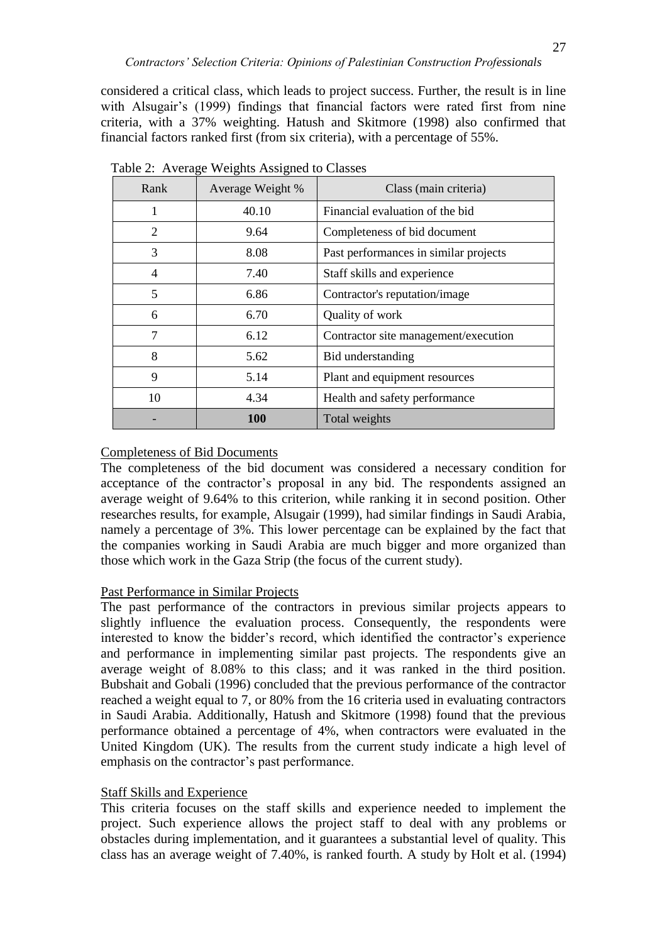considered a critical class, which leads to project success. Further, the result is in line with Alsugair's (1999) findings that financial factors were rated first from nine criteria, with a 37% weighting. Hatush and Skitmore (1998) also confirmed that financial factors ranked first (from six criteria), with a percentage of 55%.

| Rank           | Average Weight % | Class (main criteria)                 |  |
|----------------|------------------|---------------------------------------|--|
| 1              | 40.10            | Financial evaluation of the bid       |  |
| $\overline{2}$ | 9.64             | Completeness of bid document          |  |
| 3              | 8.08             | Past performances in similar projects |  |
| $\overline{4}$ | 7.40             | Staff skills and experience           |  |
| 5              | 6.86             | Contractor's reputation/image         |  |
| 6              | 6.70             | Quality of work                       |  |
| 7              | 6.12             | Contractor site management/execution  |  |
| 8              | 5.62             | Bid understanding                     |  |
| 9              | 5.14             | Plant and equipment resources         |  |
| 10             | 4.34             | Health and safety performance         |  |
|                | 100              | Total weights                         |  |

Table 2: Average Weights Assigned to Classes

# Completeness of Bid Documents

The completeness of the bid document was considered a necessary condition for acceptance of the contractor's proposal in any bid. The respondents assigned an average weight of 9.64% to this criterion, while ranking it in second position. Other researches results, for example, Alsugair (1999), had similar findings in Saudi Arabia, namely a percentage of 3%. This lower percentage can be explained by the fact that the companies working in Saudi Arabia are much bigger and more organized than those which work in the Gaza Strip (the focus of the current study).

# Past Performance in Similar Projects

The past performance of the contractors in previous similar projects appears to slightly influence the evaluation process. Consequently, the respondents were interested to know the bidder's record, which identified the contractor's experience and performance in implementing similar past projects. The respondents give an average weight of 8.08% to this class; and it was ranked in the third position. Bubshait and Gobali (1996) concluded that the previous performance of the contractor reached a weight equal to 7, or 80% from the 16 criteria used in evaluating contractors in Saudi Arabia. Additionally, Hatush and Skitmore (1998) found that the previous performance obtained a percentage of 4%, when contractors were evaluated in the United Kingdom (UK). The results from the current study indicate a high level of emphasis on the contractor's past performance.

# Staff Skills and Experience

This criteria focuses on the staff skills and experience needed to implement the project. Such experience allows the project staff to deal with any problems or obstacles during implementation, and it guarantees a substantial level of quality. This class has an average weight of 7.40%, is ranked fourth. A study by Holt et al. (1994)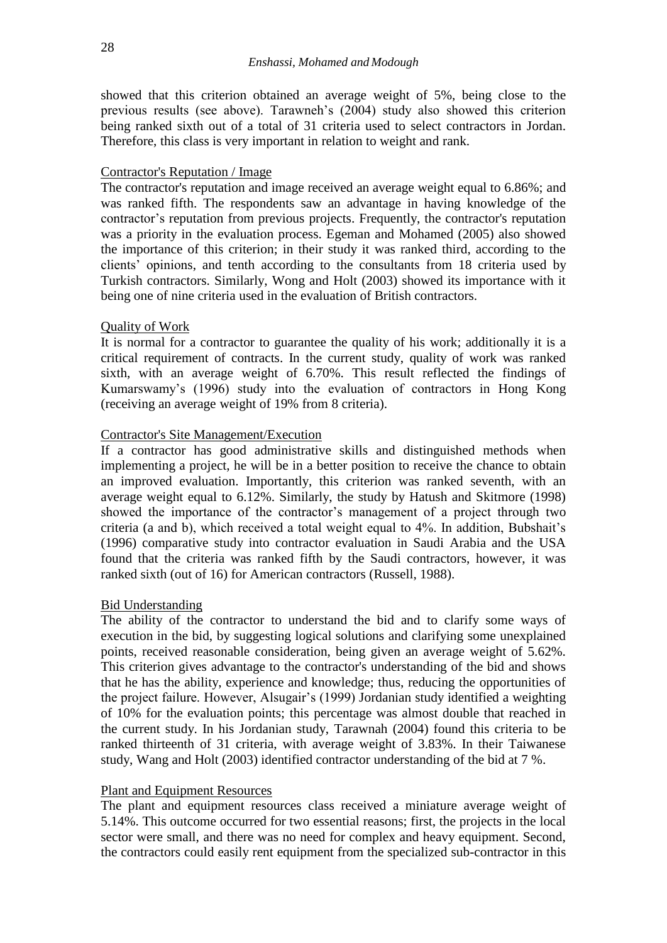showed that this criterion obtained an average weight of 5%, being close to the previous results (see above). Tarawneh's (2004) study also showed this criterion being ranked sixth out of a total of 31 criteria used to select contractors in Jordan. Therefore, this class is very important in relation to weight and rank.

## Contractor's Reputation / Image

The contractor's reputation and image received an average weight equal to 6.86%; and was ranked fifth. The respondents saw an advantage in having knowledge of the contractor's reputation from previous projects. Frequently, the contractor's reputation was a priority in the evaluation process. Egeman and Mohamed (2005) also showed the importance of this criterion; in their study it was ranked third, according to the clients' opinions, and tenth according to the consultants from 18 criteria used by Turkish contractors. Similarly, Wong and Holt (2003) showed its importance with it being one of nine criteria used in the evaluation of British contractors.

## Quality of Work

It is normal for a contractor to guarantee the quality of his work; additionally it is a critical requirement of contracts. In the current study, quality of work was ranked sixth, with an average weight of 6.70%. This result reflected the findings of Kumarswamy's (1996) study into the evaluation of contractors in Hong Kong (receiving an average weight of 19% from 8 criteria).

# Contractor's Site Management/Execution

If a contractor has good administrative skills and distinguished methods when implementing a project, he will be in a better position to receive the chance to obtain an improved evaluation. Importantly, this criterion was ranked seventh, with an average weight equal to 6.12%. Similarly, the study by Hatush and Skitmore (1998) showed the importance of the contractor's management of a project through two criteria (a and b), which received a total weight equal to 4%. In addition, Bubshait's (1996) comparative study into contractor evaluation in Saudi Arabia and the USA found that the criteria was ranked fifth by the Saudi contractors, however, it was ranked sixth (out of 16) for American contractors (Russell, 1988).

#### Bid Understanding

The ability of the contractor to understand the bid and to clarify some ways of execution in the bid, by suggesting logical solutions and clarifying some unexplained points, received reasonable consideration, being given an average weight of 5.62%. This criterion gives advantage to the contractor's understanding of the bid and shows that he has the ability, experience and knowledge; thus, reducing the opportunities of the project failure. However, Alsugair's (1999) Jordanian study identified a weighting of 10% for the evaluation points; this percentage was almost double that reached in the current study. In his Jordanian study, Tarawnah (2004) found this criteria to be ranked thirteenth of 31 criteria, with average weight of 3.83%. In their Taiwanese study, Wang and Holt (2003) identified contractor understanding of the bid at 7 %.

#### Plant and Equipment Resources

The plant and equipment resources class received a miniature average weight of 5.14%. This outcome occurred for two essential reasons; first, the projects in the local sector were small, and there was no need for complex and heavy equipment. Second, the contractors could easily rent equipment from the specialized sub-contractor in this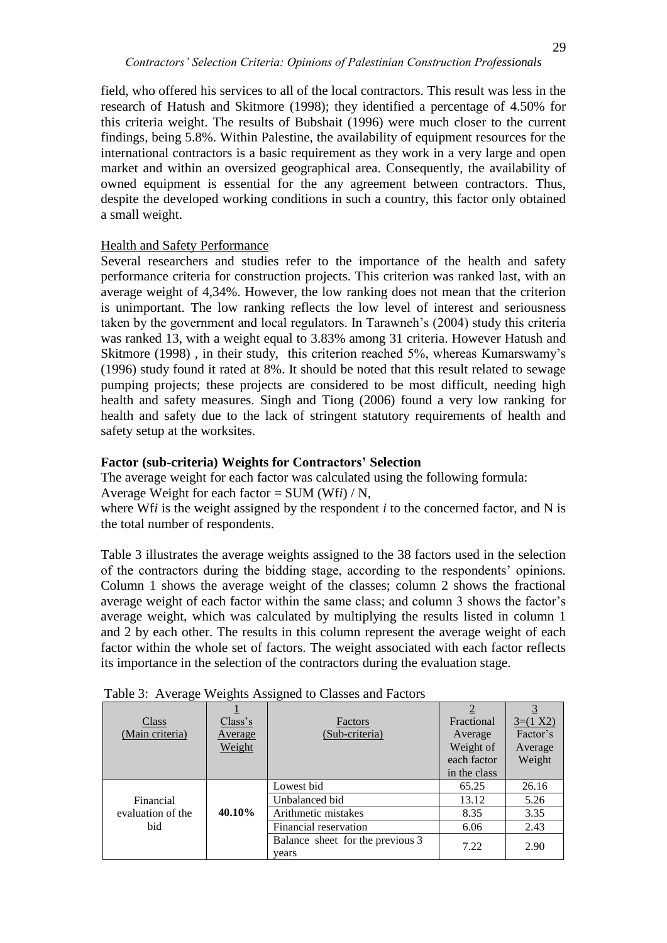field, who offered his services to all of the local contractors. This result was less in the research of Hatush and Skitmore (1998); they identified a percentage of 4.50% for this criteria weight. The results of Bubshait (1996) were much closer to the current findings, being 5.8%. Within Palestine, the availability of equipment resources for the international contractors is a basic requirement as they work in a very large and open market and within an oversized geographical area. Consequently, the availability of owned equipment is essential for the any agreement between contractors. Thus, despite the developed working conditions in such a country, this factor only obtained a small weight.

#### Health and Safety Performance

Several researchers and studies refer to the importance of the health and safety performance criteria for construction projects. This criterion was ranked last, with an average weight of 4,34%. However, the low ranking does not mean that the criterion is unimportant. The low ranking reflects the low level of interest and seriousness taken by the government and local regulators. In Tarawneh's (2004) study this criteria was ranked 13, with a weight equal to 3.83% among 31 criteria. However Hatush and Skitmore (1998) , in their study, this criterion reached 5%, whereas Kumarswamy's (1996) study found it rated at 8%. It should be noted that this result related to sewage pumping projects; these projects are considered to be most difficult, needing high health and safety measures. Singh and Tiong (2006) found a very low ranking for health and safety due to the lack of stringent statutory requirements of health and safety setup at the worksites.

#### **Factor (sub-criteria) Weights for Contractors' Selection**

The average weight for each factor was calculated using the following formula: Average Weight for each factor = SUM (Wf*i*) / N,

where Wf*i* is the weight assigned by the respondent *i* to the concerned factor, and N is the total number of respondents.

Table 3 illustrates the average weights assigned to the 38 factors used in the selection of the contractors during the bidding stage, according to the respondents' opinions. Column 1 shows the average weight of the classes; column 2 shows the fractional average weight of each factor within the same class; and column 3 shows the factor's average weight, which was calculated by multiplying the results listed in column 1 and 2 by each other. The results in this column represent the average weight of each factor within the whole set of factors. The weight associated with each factor reflects its importance in the selection of the contractors during the evaluation stage.

| Class<br>(Main criteria) | Class's<br>Average<br>Weight | Factors<br>(Sub-criteria)                 | Fractional<br>Average<br>Weight of<br>each factor<br>in the class | $3=(1 X2)$<br>Factor's<br>Average<br>Weight |
|--------------------------|------------------------------|-------------------------------------------|-------------------------------------------------------------------|---------------------------------------------|
|                          | 40.10%                       | Lowest bid                                | 65.25                                                             | 26.16                                       |
| Financial                |                              | Unbalanced bid                            | 13.12                                                             | 5.26                                        |
| evaluation of the        |                              | Arithmetic mistakes                       | 8.35                                                              | 3.35                                        |
| bid                      |                              | Financial reservation                     | 6.06                                                              | 2.43                                        |
|                          |                              | Balance sheet for the previous 3<br>years | 7.22                                                              | 2.90                                        |

Table 3: Average Weights Assigned to Classes and Factors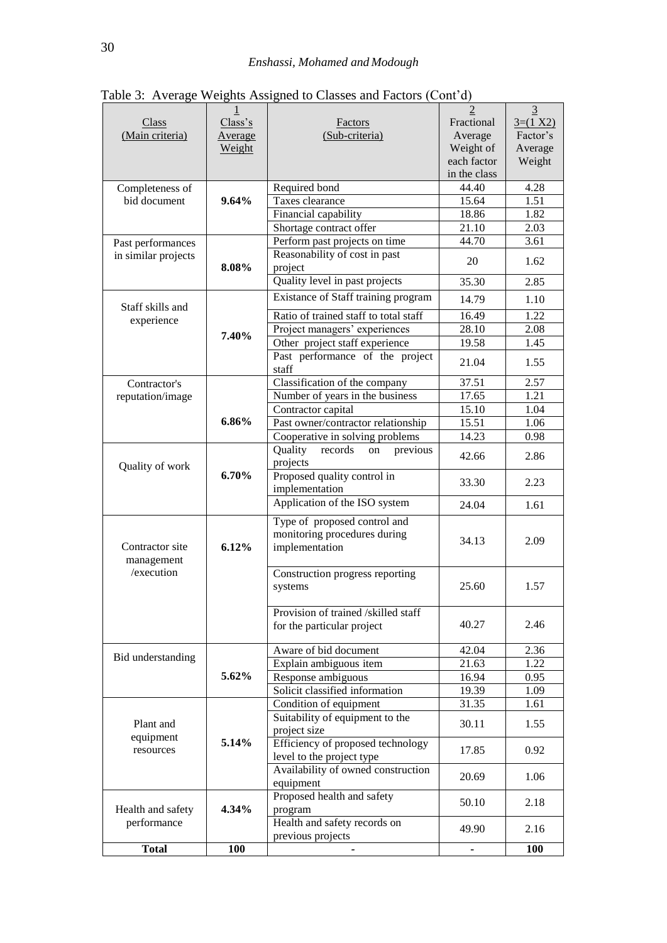| Class<br>(Main criteria)                    | $\mathbf 1$<br>Class's<br>Average<br>Weight | Factors<br>(Sub-criteria)                                                      | $\overline{2}$<br>Fractional<br>Average<br>Weight of<br>each factor<br>in the class | $\overline{3}$<br>$3=(1 X2)$<br>Factor's<br>Average<br>Weight |
|---------------------------------------------|---------------------------------------------|--------------------------------------------------------------------------------|-------------------------------------------------------------------------------------|---------------------------------------------------------------|
|                                             |                                             | Required bond                                                                  | 44.40                                                                               | 4.28                                                          |
| Completeness of<br>bid document             | 9.64%                                       | Taxes clearance                                                                | 15.64                                                                               | 1.51                                                          |
|                                             |                                             |                                                                                |                                                                                     |                                                               |
|                                             |                                             | Financial capability                                                           | 18.86                                                                               | 1.82                                                          |
|                                             |                                             | Shortage contract offer                                                        | 21.10                                                                               | 2.03                                                          |
| Past performances                           |                                             | Perform past projects on time                                                  | 44.70                                                                               | 3.61                                                          |
| in similar projects                         |                                             | Reasonability of cost in past                                                  | 20                                                                                  | 1.62                                                          |
|                                             | 8.08%                                       | project                                                                        |                                                                                     |                                                               |
|                                             |                                             | Quality level in past projects                                                 | 35.30                                                                               | 2.85                                                          |
| Staff skills and                            |                                             | Existance of Staff training program                                            | 14.79                                                                               | 1.10                                                          |
| experience                                  |                                             | Ratio of trained staff to total staff                                          | 16.49                                                                               | 1.22                                                          |
|                                             |                                             | Project managers' experiences                                                  | 28.10                                                                               | 2.08                                                          |
|                                             | 7.40%                                       | Other project staff experience                                                 | 19.58                                                                               | 1.45                                                          |
|                                             |                                             | Past performance of the project                                                |                                                                                     |                                                               |
|                                             |                                             | staff                                                                          | 21.04                                                                               | 1.55                                                          |
| Contractor's                                |                                             | Classification of the company                                                  | 37.51                                                                               | 2.57                                                          |
| reputation/image                            |                                             | Number of years in the business                                                | 17.65                                                                               | 1.21                                                          |
|                                             |                                             | Contractor capital                                                             | 15.10                                                                               | 1.04                                                          |
|                                             | 6.86%                                       | Past owner/contractor relationship                                             | 15.51                                                                               | 1.06                                                          |
|                                             |                                             | Cooperative in solving problems                                                | 14.23                                                                               | 0.98                                                          |
|                                             |                                             | Quality<br>records<br>on<br>previous                                           |                                                                                     |                                                               |
|                                             |                                             | projects                                                                       | 42.66                                                                               | 2.86                                                          |
| Quality of work                             | 6.70%                                       | Proposed quality control in                                                    |                                                                                     |                                                               |
|                                             |                                             | implementation                                                                 | 33.30                                                                               | 2.23                                                          |
|                                             |                                             | Application of the ISO system                                                  |                                                                                     |                                                               |
|                                             |                                             |                                                                                | 24.04                                                                               | 1.61                                                          |
| Contractor site<br>management<br>/execution | 6.12%                                       | Type of proposed control and<br>monitoring procedures during<br>implementation | 34.13                                                                               | 2.09                                                          |
|                                             |                                             | Construction progress reporting<br>systems                                     | 25.60                                                                               | 1.57                                                          |
|                                             |                                             | Provision of trained /skilled staff<br>for the particular project              | 40.27                                                                               | 2.46                                                          |
|                                             |                                             | Aware of bid document                                                          | 42.04                                                                               | 2.36                                                          |
| Bid understanding                           |                                             | Explain ambiguous item                                                         | 21.63                                                                               | 1.22                                                          |
|                                             | 5.62%                                       | Response ambiguous                                                             | 16.94                                                                               | 0.95                                                          |
|                                             |                                             | Solicit classified information                                                 | 19.39                                                                               | 1.09                                                          |
|                                             | 5.14%                                       | Condition of equipment                                                         | 31.35                                                                               | 1.61                                                          |
|                                             |                                             | Suitability of equipment to the                                                |                                                                                     |                                                               |
| Plant and                                   |                                             | project size                                                                   | 30.11                                                                               | 1.55                                                          |
| equipment                                   |                                             | Efficiency of proposed technology                                              |                                                                                     |                                                               |
| resources                                   |                                             | level to the project type                                                      | 17.85                                                                               | 0.92                                                          |
|                                             |                                             | Availability of owned construction                                             | 20.69                                                                               | 1.06                                                          |
|                                             |                                             | equipment                                                                      |                                                                                     |                                                               |
|                                             | 4.34%                                       | Proposed health and safety                                                     | 50.10                                                                               | 2.18                                                          |
| Health and safety                           |                                             | program                                                                        |                                                                                     |                                                               |
| performance                                 |                                             | Health and safety records on                                                   | 49.90                                                                               | 2.16                                                          |
|                                             |                                             | previous projects                                                              |                                                                                     |                                                               |
| <b>Total</b>                                | 100                                         |                                                                                |                                                                                     | 100                                                           |

Table 3: Average Weights Assigned to Classes and Factors (Cont'd)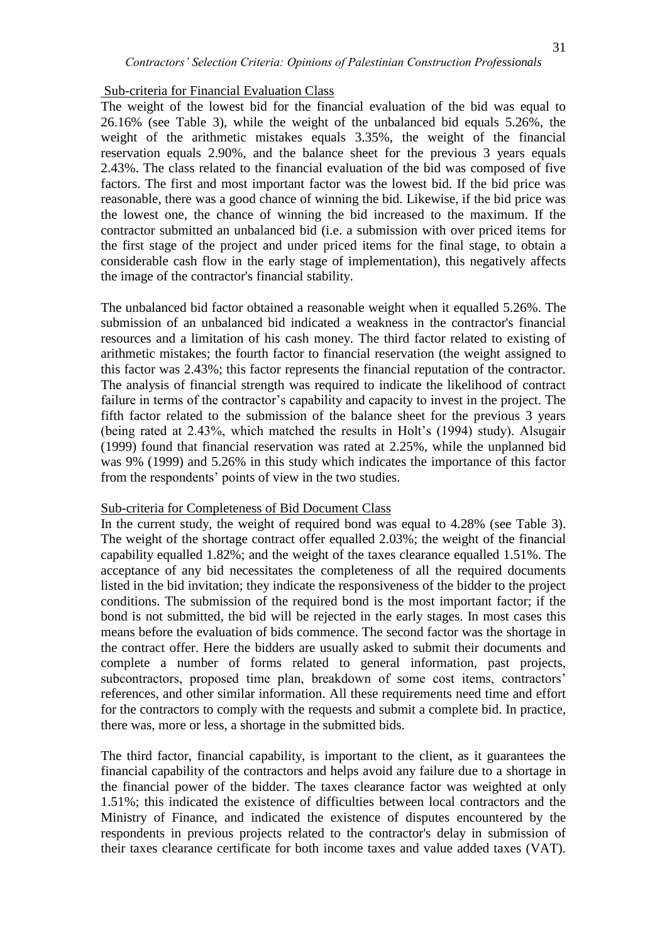#### Sub-criteria for Financial Evaluation Class

The weight of the lowest bid for the financial evaluation of the bid was equal to 26.16% (see Table 3), while the weight of the unbalanced bid equals 5.26%, the weight of the arithmetic mistakes equals 3.35%, the weight of the financial reservation equals 2.90%, and the balance sheet for the previous 3 years equals 2.43%. The class related to the financial evaluation of the bid was composed of five factors. The first and most important factor was the lowest bid. If the bid price was reasonable, there was a good chance of winning the bid. Likewise, if the bid price was the lowest one, the chance of winning the bid increased to the maximum. If the contractor submitted an unbalanced bid (i.e. a submission with over priced items for the first stage of the project and under priced items for the final stage, to obtain a considerable cash flow in the early stage of implementation), this negatively affects the image of the contractor's financial stability.

The unbalanced bid factor obtained a reasonable weight when it equalled 5.26%. The submission of an unbalanced bid indicated a weakness in the contractor's financial resources and a limitation of his cash money. The third factor related to existing of arithmetic mistakes; the fourth factor to financial reservation (the weight assigned to this factor was 2.43%; this factor represents the financial reputation of the contractor. The analysis of financial strength was required to indicate the likelihood of contract failure in terms of the contractor's capability and capacity to invest in the project. The fifth factor related to the submission of the balance sheet for the previous 3 years (being rated at 2.43%, which matched the results in Holt's (1994) study). Alsugair (1999) found that financial reservation was rated at 2.25%, while the unplanned bid was 9% (1999) and 5.26% in this study which indicates the importance of this factor from the respondents' points of view in the two studies.

## Sub-criteria for Completeness of Bid Document Class

In the current study, the weight of required bond was equal to 4.28% (see Table 3). The weight of the shortage contract offer equalled 2.03%; the weight of the financial capability equalled 1.82%; and the weight of the taxes clearance equalled 1.51%. The acceptance of any bid necessitates the completeness of all the required documents listed in the bid invitation; they indicate the responsiveness of the bidder to the project conditions. The submission of the required bond is the most important factor; if the bond is not submitted, the bid will be rejected in the early stages. In most cases this means before the evaluation of bids commence. The second factor was the shortage in the contract offer. Here the bidders are usually asked to submit their documents and complete a number of forms related to general information, past projects, subcontractors, proposed time plan, breakdown of some cost items, contractors' references, and other similar information. All these requirements need time and effort for the contractors to comply with the requests and submit a complete bid. In practice, there was, more or less, a shortage in the submitted bids.

The third factor, financial capability, is important to the client, as it guarantees the financial capability of the contractors and helps avoid any failure due to a shortage in the financial power of the bidder. The taxes clearance factor was weighted at only 1.51%; this indicated the existence of difficulties between local contractors and the Ministry of Finance, and indicated the existence of disputes encountered by the respondents in previous projects related to the contractor's delay in submission of their taxes clearance certificate for both income taxes and value added taxes (VAT).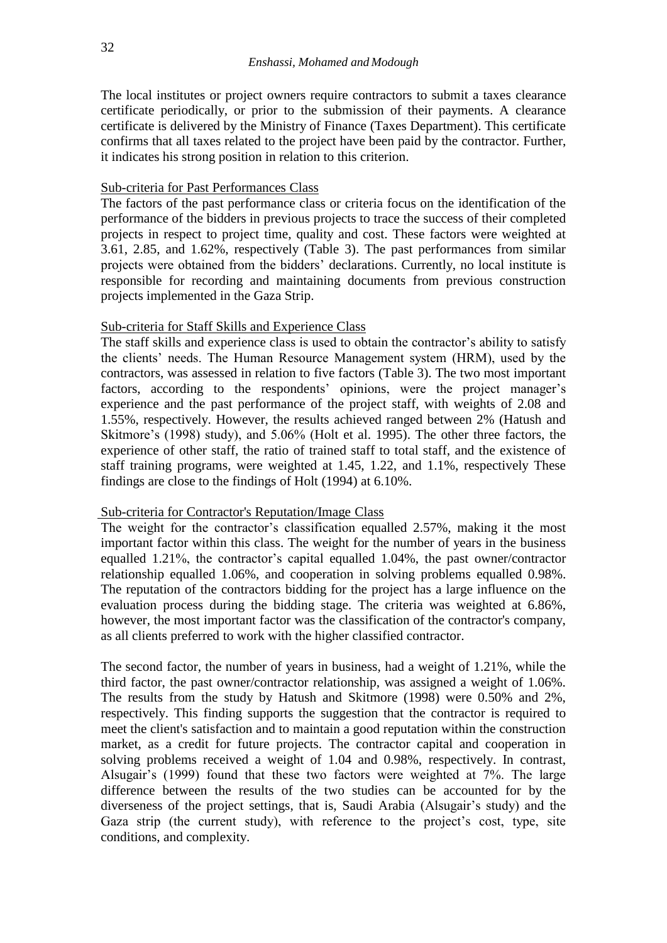The local institutes or project owners require contractors to submit a taxes clearance certificate periodically, or prior to the submission of their payments. A clearance certificate is delivered by the Ministry of Finance (Taxes Department). This certificate confirms that all taxes related to the project have been paid by the contractor. Further, it indicates his strong position in relation to this criterion.

#### Sub-criteria for Past Performances Class

The factors of the past performance class or criteria focus on the identification of the performance of the bidders in previous projects to trace the success of their completed projects in respect to project time, quality and cost. These factors were weighted at 3.61, 2.85, and 1.62%, respectively (Table 3). The past performances from similar projects were obtained from the bidders' declarations. Currently, no local institute is responsible for recording and maintaining documents from previous construction projects implemented in the Gaza Strip.

#### Sub-criteria for Staff Skills and Experience Class

The staff skills and experience class is used to obtain the contractor's ability to satisfy the clients' needs. The Human Resource Management system (HRM), used by the contractors, was assessed in relation to five factors (Table 3). The two most important factors, according to the respondents' opinions, were the project manager's experience and the past performance of the project staff, with weights of 2.08 and 1.55%, respectively. However, the results achieved ranged between 2% (Hatush and Skitmore's (1998) study), and 5.06% (Holt et al. 1995). The other three factors, the experience of other staff, the ratio of trained staff to total staff, and the existence of staff training programs, were weighted at 1.45, 1.22, and 1.1%, respectively These findings are close to the findings of Holt (1994) at 6.10%.

## Sub-criteria for Contractor's Reputation/Image Class

The weight for the contractor's classification equalled 2.57%, making it the most important factor within this class. The weight for the number of years in the business equalled 1.21%, the contractor's capital equalled 1.04%, the past owner/contractor relationship equalled 1.06%, and cooperation in solving problems equalled 0.98%. The reputation of the contractors bidding for the project has a large influence on the evaluation process during the bidding stage. The criteria was weighted at 6.86%, however, the most important factor was the classification of the contractor's company, as all clients preferred to work with the higher classified contractor.

The second factor, the number of years in business, had a weight of 1.21%, while the third factor, the past owner/contractor relationship, was assigned a weight of 1.06%. The results from the study by Hatush and Skitmore (1998) were 0.50% and 2%, respectively. This finding supports the suggestion that the contractor is required to meet the client's satisfaction and to maintain a good reputation within the construction market, as a credit for future projects. The contractor capital and cooperation in solving problems received a weight of 1.04 and 0.98%, respectively. In contrast, Alsugair's (1999) found that these two factors were weighted at 7%. The large difference between the results of the two studies can be accounted for by the diverseness of the project settings, that is, Saudi Arabia (Alsugair's study) and the Gaza strip (the current study), with reference to the project's cost, type, site conditions, and complexity.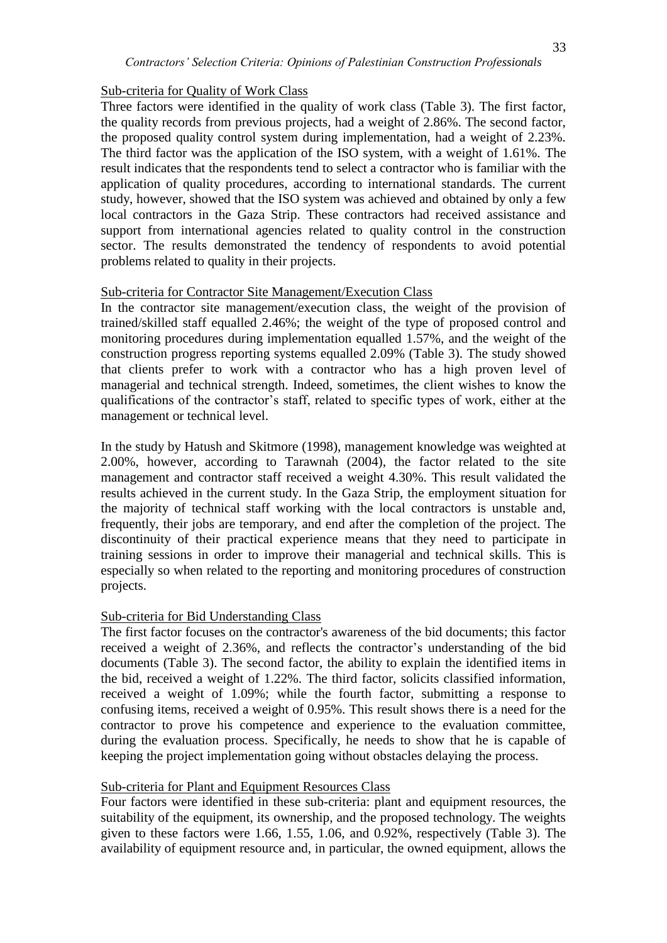## Sub-criteria for Quality of Work Class

Three factors were identified in the quality of work class (Table 3). The first factor, the quality records from previous projects, had a weight of 2.86%. The second factor, the proposed quality control system during implementation, had a weight of 2.23%. The third factor was the application of the ISO system, with a weight of 1.61%. The result indicates that the respondents tend to select a contractor who is familiar with the application of quality procedures, according to international standards. The current study, however, showed that the ISO system was achieved and obtained by only a few local contractors in the Gaza Strip. These contractors had received assistance and support from international agencies related to quality control in the construction sector. The results demonstrated the tendency of respondents to avoid potential problems related to quality in their projects.

## Sub-criteria for Contractor Site Management/Execution Class

In the contractor site management/execution class, the weight of the provision of trained/skilled staff equalled 2.46%; the weight of the type of proposed control and monitoring procedures during implementation equalled 1.57%, and the weight of the construction progress reporting systems equalled 2.09% (Table 3). The study showed that clients prefer to work with a contractor who has a high proven level of managerial and technical strength. Indeed, sometimes, the client wishes to know the qualifications of the contractor's staff, related to specific types of work, either at the management or technical level.

In the study by Hatush and Skitmore (1998), management knowledge was weighted at 2.00%, however, according to Tarawnah (2004), the factor related to the site management and contractor staff received a weight 4.30%. This result validated the results achieved in the current study. In the Gaza Strip, the employment situation for the majority of technical staff working with the local contractors is unstable and, frequently, their jobs are temporary, and end after the completion of the project. The discontinuity of their practical experience means that they need to participate in training sessions in order to improve their managerial and technical skills. This is especially so when related to the reporting and monitoring procedures of construction projects.

# Sub-criteria for Bid Understanding Class

The first factor focuses on the contractor's awareness of the bid documents; this factor received a weight of 2.36%, and reflects the contractor's understanding of the bid documents (Table 3). The second factor, the ability to explain the identified items in the bid, received a weight of 1.22%. The third factor, solicits classified information, received a weight of 1.09%; while the fourth factor, submitting a response to confusing items, received a weight of 0.95%. This result shows there is a need for the contractor to prove his competence and experience to the evaluation committee, during the evaluation process. Specifically, he needs to show that he is capable of keeping the project implementation going without obstacles delaying the process.

# Sub-criteria for Plant and Equipment Resources Class

Four factors were identified in these sub-criteria: plant and equipment resources, the suitability of the equipment, its ownership, and the proposed technology. The weights given to these factors were 1.66, 1.55, 1.06, and 0.92%, respectively (Table 3). The availability of equipment resource and, in particular, the owned equipment, allows the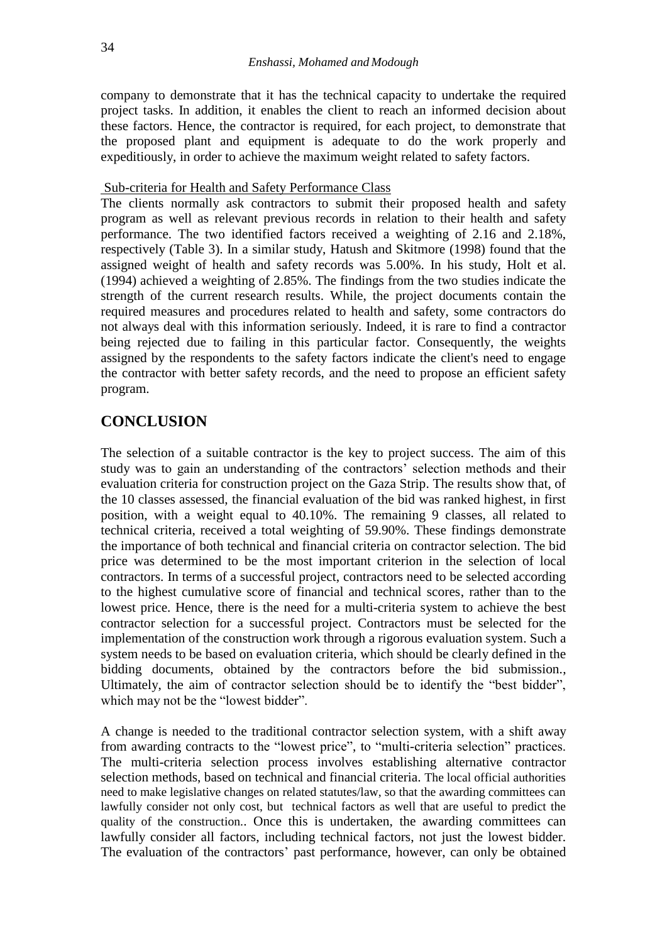company to demonstrate that it has the technical capacity to undertake the required project tasks. In addition, it enables the client to reach an informed decision about these factors. Hence, the contractor is required, for each project, to demonstrate that the proposed plant and equipment is adequate to do the work properly and expeditiously, in order to achieve the maximum weight related to safety factors.

#### Sub-criteria for Health and Safety Performance Class

The clients normally ask contractors to submit their proposed health and safety program as well as relevant previous records in relation to their health and safety performance. The two identified factors received a weighting of 2.16 and 2.18%, respectively (Table 3). In a similar study, Hatush and Skitmore (1998) found that the assigned weight of health and safety records was 5.00%. In his study, Holt et al. (1994) achieved a weighting of 2.85%. The findings from the two studies indicate the strength of the current research results. While, the project documents contain the required measures and procedures related to health and safety, some contractors do not always deal with this information seriously. Indeed, it is rare to find a contractor being rejected due to failing in this particular factor. Consequently, the weights assigned by the respondents to the safety factors indicate the client's need to engage the contractor with better safety records, and the need to propose an efficient safety program.

# **CONCLUSION**

The selection of a suitable contractor is the key to project success. The aim of this study was to gain an understanding of the contractors' selection methods and their evaluation criteria for construction project on the Gaza Strip. The results show that, of the 10 classes assessed, the financial evaluation of the bid was ranked highest, in first position, with a weight equal to 40.10%. The remaining 9 classes, all related to technical criteria, received a total weighting of 59.90%. These findings demonstrate the importance of both technical and financial criteria on contractor selection. The bid price was determined to be the most important criterion in the selection of local contractors. In terms of a successful project, contractors need to be selected according to the highest cumulative score of financial and technical scores, rather than to the lowest price. Hence, there is the need for a multi-criteria system to achieve the best contractor selection for a successful project. Contractors must be selected for the implementation of the construction work through a rigorous evaluation system. Such a system needs to be based on evaluation criteria, which should be clearly defined in the bidding documents, obtained by the contractors before the bid submission., Ultimately, the aim of contractor selection should be to identify the "best bidder", which may not be the "lowest bidder".

A change is needed to the traditional contractor selection system, with a shift away from awarding contracts to the "lowest price", to "multi-criteria selection" practices. The multi-criteria selection process involves establishing alternative contractor selection methods, based on technical and financial criteria. The local official authorities need to make legislative changes on related statutes/law, so that the awarding committees can lawfully consider not only cost, but technical factors as well that are useful to predict the quality of the construction.. Once this is undertaken, the awarding committees can lawfully consider all factors, including technical factors, not just the lowest bidder. The evaluation of the contractors' past performance, however, can only be obtained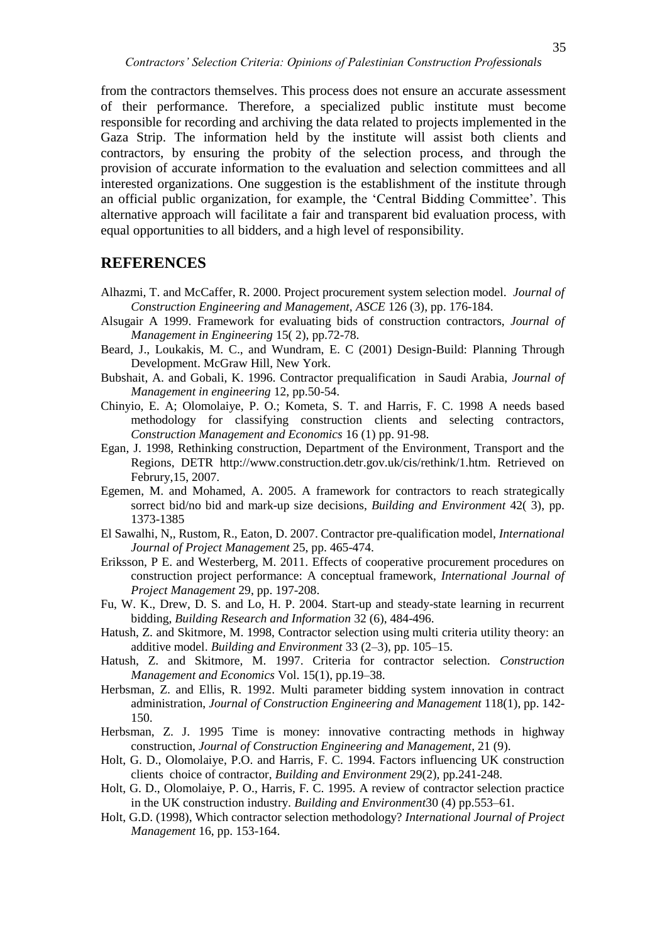from the contractors themselves. This process does not ensure an accurate assessment of their performance. Therefore, a specialized public institute must become responsible for recording and archiving the data related to projects implemented in the Gaza Strip. The information held by the institute will assist both clients and contractors, by ensuring the probity of the selection process, and through the provision of accurate information to the evaluation and selection committees and all interested organizations. One suggestion is the establishment of the institute through an official public organization, for example, the 'Central Bidding Committee'. This alternative approach will facilitate a fair and transparent bid evaluation process, with equal opportunities to all bidders, and a high level of responsibility.

# **REFERENCES**

- Alhazmi, T. and McCaffer, R. 2000. Project procurement system selection model. *Journal of Construction Engineering and Management, ASCE* 126 (3), pp. 176-184.
- Alsugair A 1999. Framework for evaluating bids of construction contractors, *Journal of Management in Engineering* 15( 2), pp.72-78.
- Beard, J., Loukakis, M. C., and Wundram, E. C (2001) Design-Build: Planning Through Development. McGraw Hill, New York.
- Bubshait, A. and Gobali, K. 1996. Contractor prequalification in Saudi Arabia, *Journal of Management in engineering* 12, pp.50-54.
- Chinyio, E. A; Olomolaiye, P. O.; Kometa, S. T. and Harris, F. C. 1998 A needs based methodology for classifying construction clients and selecting contractors, *Construction Management and Economics* 16 (1) pp. 91-98.
- Egan, J. 1998, Rethinking construction, Department of the Environment, Transport and the Regions, DETR [http://www.construction.detr.gov.uk/cis/rethink/1.htm. Retrieved on](http://www.construction.detr.gov.uk/cis/rethink/1.htm.%20Retrieved%20on%20Februry,15)  [Februry,15,](http://www.construction.detr.gov.uk/cis/rethink/1.htm.%20Retrieved%20on%20Februry,15) 2007.
- Egemen, M. and Mohamed, A. 2005. A framework for contractors to reach strategically sorrect bid/no bid and mark-up size decisions, *Building and Environment* 42( 3), pp. 1373-1385
- El Sawalhi, N,, Rustom, R., Eaton, D. 2007. Contractor pre-qualification model, *International Journal of Project Management* 25, pp. 465-474.
- Eriksson, P E. and Westerberg, M. 2011. Effects of cooperative procurement procedures on construction project performance: A conceptual framework, *International Journal of Project Management* 29, pp. 197-208.
- Fu, W. K., Drew, D. S. and Lo, H. P. 2004. Start-up and steady-state learning in recurrent bidding, *Building Research and Information* 32 (6), 484-496.
- Hatush, Z. and Skitmore, M. 1998, Contractor selection using multi criteria utility theory: an additive model. *Building and Environment* 33 (2–3), pp. 105–15.
- Hatush, Z. and Skitmore, M. 1997. Criteria for contractor selection. *Construction Management and Economics* Vol. 15(1), pp.19–38.
- Herbsman, Z. and Ellis, R. 1992. Multi parameter bidding system innovation in contract administration, *Journal of Construction Engineering and Management* 118(1), pp. 142- 150.
- Herbsman, Z. J. 1995 Time is money: innovative contracting methods in highway construction, *Journal of Construction Engineering and Management*, 21 (9).
- Holt, G. D., Olomolaiye, P.O. and Harris, F. C. 1994. Factors influencing UK construction clients choice of contractor, *Building and Environment* 29(2), pp.241-248.
- Holt, G. D., Olomolaiye, P. O., Harris, F. C. 1995. A review of contractor selection practice in the UK construction industry. *Building and Environment*30 (4) pp.553–61.
- Holt, G.D. (1998), Which contractor selection methodology? *International Journal of Project Management* 16, pp. 153-164.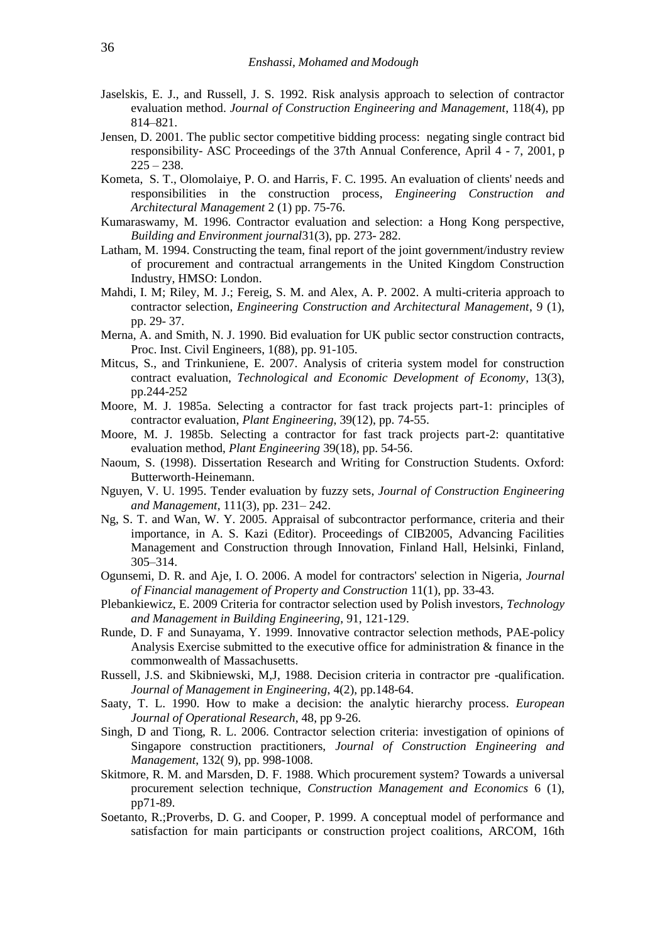- Jaselskis, E. J., and Russell, J. S. 1992. Risk analysis approach to selection of contractor evaluation method. *Journal of Construction Engineering and Management*, 118(4), pp 814–821.
- Jensen, D. 2001. The public sector competitive bidding process: negating single contract bid responsibility- ASC Proceedings of the 37th Annual Conference, April 4 - 7, 2001, p  $225 - 238.$
- Kometa, S. T., Olomolaiye, P. O. and Harris, F. C. 1995. An evaluation of clients' needs and responsibilities in the construction process, *Engineering Construction and Architectural Management* 2 (1) pp. 75-76.
- Kumaraswamy, M. 1996. Contractor evaluation and selection: a Hong Kong perspective, *Building and Environment journal*31(3), pp. 273- 282.
- Latham, M. 1994. Constructing the team, final report of the joint government/industry review of procurement and contractual arrangements in the United Kingdom Construction Industry, HMSO: London.
- Mahdi, I. M; Riley, M. J.; Fereig, S. M. and Alex, A. P. 2002. A multi-criteria approach to contractor selection, *Engineering Construction and Architectural Management*, 9 (1), pp. 29- 37.
- Merna, A. and Smith, N. J. 1990. Bid evaluation for UK public sector construction contracts, Proc. Inst. Civil Engineers, 1(88), pp. 91-105.
- Mitcus, S., and Trinkuniene, E. 2007. Analysis of criteria system model for construction contract evaluation, *Technological and Economic Development of Economy*, 13(3), pp.244-252
- Moore, M. J. 1985a. Selecting a contractor for fast track projects part-1: principles of contractor evaluation, *Plant Engineering*, 39(12), pp. 74-55.
- Moore, M. J. 1985b. Selecting a contractor for fast track projects part-2: quantitative evaluation method, *Plant Engineering* 39(18), pp. 54-56.
- Naoum, S. (1998). Dissertation Research and Writing for Construction Students. Oxford: Butterworth-Heinemann.
- Nguyen, V. U. 1995. Tender evaluation by fuzzy sets, *Journal of Construction Engineering and Management*, 111(3), pp. 231– 242.
- Ng, S. T. and Wan, W. Y. 2005. Appraisal of subcontractor performance, criteria and their importance, in A. S. Kazi (Editor). Proceedings of CIB2005, Advancing Facilities Management and Construction through Innovation, Finland Hall, Helsinki, Finland, 305–314.
- Ogunsemi, D. R. and Aje, I. O. 2006. A model for contractors' selection in Nigeria, *Journal of Financial management of Property and Construction* 11(1), pp. 33-43.
- Plebankiewicz, E. 2009 Criteria for contractor selection used by Polish investors, *Technology and Management in Building Engineering*, 91, 121-129.
- Runde, D. F and Sunayama, Y. 1999. Innovative contractor selection methods, PAE-policy Analysis Exercise submitted to the executive office for administration & finance in the commonwealth of Massachusetts.
- Russell, J.S. and Skibniewski, M,J, 1988. Decision criteria in contractor pre -qualification. *Journal of Management in Engineering*, 4(2), pp.148-64.
- Saaty, T. L. 1990. How to make a decision: the analytic hierarchy process. *European Journal of Operational Research*, 48, pp 9-26.
- Singh, D and Tiong, R. L. 2006. Contractor selection criteria: investigation of opinions of Singapore construction practitioners, *Journal of Construction Engineering and Management*, 132( 9), pp. 998-1008.
- Skitmore, R. M. and Marsden, D. F. 1988. Which procurement system? Towards a universal procurement selection technique, *Construction Management and Economics* 6 (1), pp71-89.
- Soetanto, R.;Proverbs, D. G. and Cooper, P. 1999. A conceptual model of performance and satisfaction for main participants or construction project coalitions, ARCOM, 16th